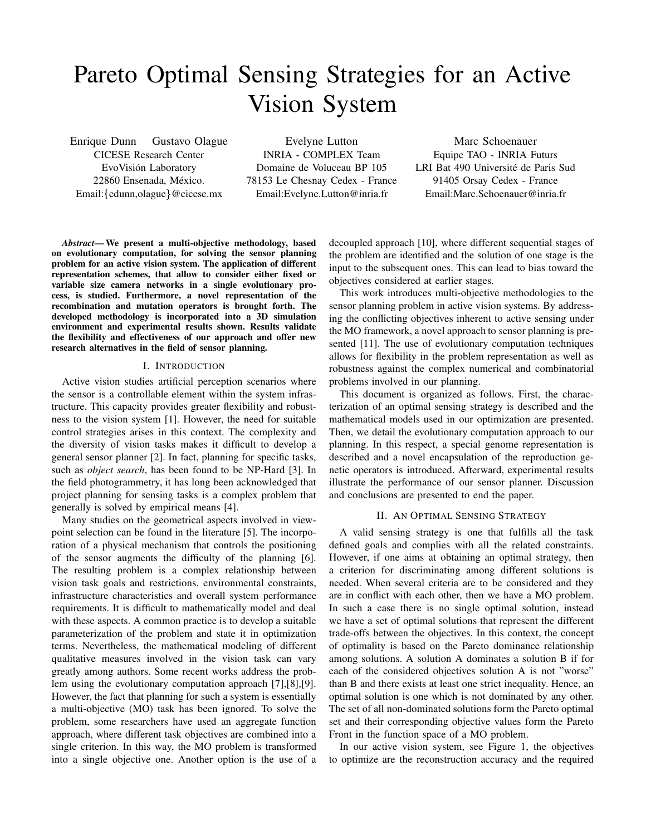# Pareto Optimal Sensing Strategies for an Active Vision System

Enrique Dunn Gustavo Olague CICESE Research Center EvoVisión Laboratory 22860 Ensenada, México. Email: {edunn,olague} @cicese.mx

Evelyne Lutton INRIA - COMPLEX Team Domaine de Voluceau BP 105 78153 Le Chesnay Cedex - France Email:Evelyne.Lutton@inria.fr

Marc Schoenauer Equipe TAO - INRIA Futurs LRI Bat 490 Université de Paris Sud 91405 Orsay Cedex - France Email:Marc.Schoenauer@inria.fr

*Abstract***— We present a multi-objective methodology, based on evolutionary computation, for solving the sensor planning problem for an active vision system. The application of different representation schemes, that allow to consider either fixed or variable size camera networks in a single evolutionary process, is studied. Furthermore, a novel representation of the recombination and mutation operators is brought forth. The developed methodology is incorporated into a 3D simulation environment and experimental results shown. Results validate the flexibility and effectiveness of our approach and offer new research alternatives in the field of sensor planning.**

## I. INTRODUCTION

Active vision studies artificial perception scenarios where the sensor is a controllable element within the system infrastructure. This capacity provides greater flexibility and robustness to the vision system [1]. However, the need for suitable control strategies arises in this context. The complexity and the diversity of vision tasks makes it difficult to develop a general sensor planner [2]. In fact, planning for specific tasks, such as *object search*, has been found to be NP-Hard [3]. In the field photogrammetry, it has long been acknowledged that project planning for sensing tasks is a complex problem that generally is solved by empirical means [4].

Many studies on the geometrical aspects involved in viewpoint selection can be found in the literature [5]. The incorporation of a physical mechanism that controls the positioning of the sensor augments the difficulty of the planning [6]. The resulting problem is a complex relationship between vision task goals and restrictions, environmental constraints, infrastructure characteristics and overall system performance requirements. It is difficult to mathematically model and deal with these aspects. A common practice is to develop a suitable parameterization of the problem and state it in optimization terms. Nevertheless, the mathematical modeling of different qualitative measures involved in the vision task can vary greatly among authors. Some recent works address the problem using the evolutionary computation approach [7],[8],[9]. However, the fact that planning for such a system is essentially a multi-objective (MO) task has been ignored. To solve the problem, some researchers have used an aggregate function approach, where different task objectives are combined into a single criterion. In this way, the MO problem is transformed into a single objective one. Another option is the use of a

decoupled approach [10], where different sequential stages of the problem are identified and the solution of one stage is the input to the subsequent ones. This can lead to bias toward the objectives considered at earlier stages.

This work introduces multi-objective methodologies to the sensor planning problem in active vision systems. By addressing the conflicting objectives inherent to active sensing under the MO framework, a novel approach to sensor planning is presented [11]. The use of evolutionary computation techniques allows for flexibility in the problem representation as well as robustness against the complex numerical and combinatorial problems involved in our planning.

This document is organized as follows. First, the characterization of an optimal sensing strategy is described and the mathematical models used in our optimization are presented. Then, we detail the evolutionary computation approach to our planning. In this respect, a special genome representation is described and a novel encapsulation of the reproduction genetic operators is introduced. Afterward, experimental results illustrate the performance of our sensor planner. Discussion and conclusions are presented to end the paper.

## II. AN OPTIMAL SENSING STRATEGY

A valid sensing strategy is one that fulfills all the task defined goals and complies with all the related constraints. However, if one aims at obtaining an optimal strategy, then a criterion for discriminating among different solutions is needed. When several criteria are to be considered and they are in conflict with each other, then we have a MO problem. In such a case there is no single optimal solution, instead we have a set of optimal solutions that represent the different trade-offs between the objectives. In this context, the concept of optimality is based on the Pareto dominance relationship among solutions. A solution A dominates a solution B if for each of the considered objectives solution A is not "worse" than B and there exists at least one strict inequality. Hence, an optimal solution is one which is not dominated by any other. The set of all non-dominated solutions form the Pareto optimal set and their corresponding objective values form the Pareto Front in the function space of a MO problem.

In our active vision system, see Figure 1, the objectives to optimize are the reconstruction accuracy and the required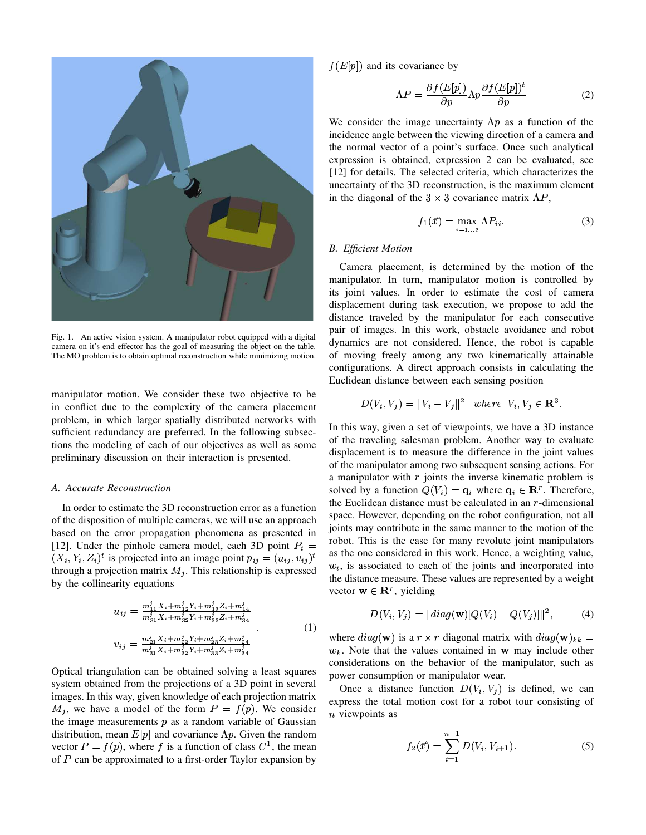

Fig. 1. An active vision system. A manipulator robot equipped with a digital camera on it's end effector has the goal of measuring the object on the table. The MO problem is to obtain optimal reconstruction while minimizing motion.

manipulator motion. We consider these two objective to be in conflict due to the complexity of the camera placement problem, in which larger spatially distributed networks with sufficient redundancy are preferred. In the following subsections the modeling of each of our objectives as well as some preliminary discussion on their interaction is presented.

## *A. Accurate Reconstruction*

In order to estimate the 3D reconstruction error as a function of the disposition of multiple cameras, we will use an approach based on the error propagation phenomena as presented in [12]. Under the pinhole camera model, each 3D point  $P_i =$  $(X_i, Y_i, Z_i)^t$  is projected into an image point  $p_{ij} = (u_{ij}, v_{ij})^t$  as through a projection matrix  $M_i$ . This relationship is expressed by the collinearity equations

$$
u_{ij} = \frac{m_{11}^j X_i + m_{12}^j Y_i + m_{13}^j Z_i + m_{14}^j}{m_{31}^j X_i + m_{32}^j Y_i + m_{33}^j Z_i + m_{34}^j}
$$
  
\n
$$
v_{ij} = \frac{m_{21}^j X_i + m_{22}^j Y_i + m_{23}^j Z_i + m_{24}^j}{m_{31}^j X_i + m_{32}^j Y_i + m_{33}^j Z_i + m_{34}^j}
$$
  
\n(1)

Optical triangulation can be obtained solving a least squares system obtained from the projections of a 3D point in several images. In this way, given knowledge of each projection matrix  $M_j$ , we have a model of the form  $P = f(p)$ . We consider the image measurements  $p$  as a random variable of Gaussian distribution, mean  $E[p]$  and covariance  $\Lambda p$ . Given the random vector  $P = f(p)$ , where f is a function of class  $C<sup>1</sup>$ , the mean of  $P$  can be approximated to a first-order Taylor expansion by

 $f(E[p])$  and its covariance by

$$
\Lambda P = \frac{\partial f(E[p])}{\partial p} \Lambda p \frac{\partial f(E[p])^t}{\partial p} \tag{2}
$$

We consider the image uncertainty  $\Lambda p$  as a function of the incidence angle between the viewing direction of a camera and the normal vector of a point's surface. Once such analytical expression is obtained, expression 2 can be evaluated, see [12] for details. The selected criteria, which characterizes the uncertainty of the 3D reconstruction, is the maximum element in the diagonal of the  $3 \times 3$  covariance matrix  $\Lambda P$ ,

$$
f_1(\vec{x}) = \max_{i=1...3} \Lambda P_{ii}.
$$
 (3)

## *B. Efficient Motion*

Camera placement, is determined by the motion of the manipulator. In turn, manipulator motion is controlled by its joint values. In order to estimate the cost of camera displacement during task execution, we propose to add the distance traveled by the manipulator for each consecutive pair of images. In this work, obstacle avoidance and robot dynamics are not considered. Hence, the robot is capable of moving freely among any two kinematically attainable configurations. A direct approach consists in calculating the Euclidean distance between each sensing position

$$
D(V_i, V_j) = ||V_i - V_j||^2 \quad where \quad V_i, V_j \in \mathbf{R}^3.
$$

 $\int_{a}^{b}$  as the one considered in this work. Hence, a weighting value, In this way, given a set of viewpoints, we have a 3D instance of the traveling salesman problem. Another way to evaluate displacement is to measure the difference in the joint values of the manipulator among two subsequent sensing actions. For a manipulator with  $r$  joints the inverse kinematic problem is solved by a function  $Q(V_i) = \mathbf{q}_i$  where  $\mathbf{q}_i \in \mathbb{R}^r$ . Therefore, the Euclidean distance must be calculated in an  $r$ -dimensional space. However, depending on the robot configuration, not all joints may contribute in the same manner to the motion of the robot. This is the case for many revolute joint manipulators  $w_i$ , is associated to each of the joints and incorporated into the distance measure. These values are represented by a weight vector  $\mathbf{w} \in \mathbf{R}^r$ , yielding

$$
D(V_i, V_j) = ||diag(\mathbf{w})[Q(V_i) - Q(V_j)]||^2, \tag{4}
$$

where  $diag(\mathbf{w})$  is a  $r \times r$  diagonal matrix with  $diag(\mathbf{w})_{kk} =$  $w_k$ . Note that the values contained in w may include other considerations on the behavior of the manipulator, such as power consumption or manipulator wear.

Once a distance function  $D(V_i, V_j)$  is defined, we can express the total motion cost for a robot tour consisting of  $n$  viewpoints as

$$
f_2(\vec{x}) = \sum_{i=1}^{n-1} D(V_i, V_{i+1}).
$$
 (5)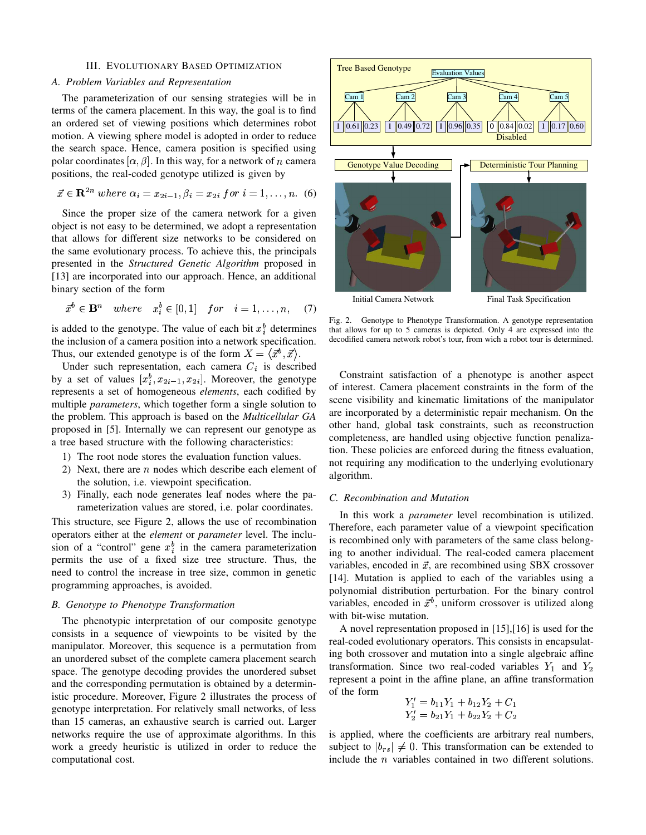## III. EVOLUTIONARY BASED OPTIMIZATION

# *A. Problem Variables and Representation*

The parameterization of our sensing strategies will be in terms of the camera placement. In this way, the goal is to find an ordered set of viewing positions which determines robot motion. A viewing sphere model is adopted in order to reduce the search space. Hence, camera position is specified using polar coordinates  $[\alpha, \beta]$ . In this way, for a network of n camera positions, the real-coded genotype utilized is given by

$$
\vec{x} \in \mathbb{R}^{2n}
$$
 where  $\alpha_i = x_{2i-1}, \beta_i = x_{2i}$  for  $i = 1, ..., n$ . (6)

Since the proper size of the camera network for a given object is not easy to be determined, we adopt a representation that allows for different size networks to be considered on the same evolutionary process. To achieve this, the principals presented in the *Structured Genetic Algorithm* proposed in [13] are incorporated into our approach. Hence, an additional binary section of the form

$$
\vec{x}^b \in \mathbf{B}^n \quad where \quad x_i^b \in [0,1] \quad for \quad i=1,\ldots,n, \quad (7)
$$

is added to the genotype. The value of each bit  $x_i^b$  determines the inclusion of a camera position into a network specification. Thus, our extended genotype is of the form  $X = \langle \vec{x}^b, \vec{x} \rangle$ .

Under such representation, each camera  $C_i$  is described by a set of values  $[x_i^b, x_{2i-1}, x_{2i}]$ . Moreover, the genotype represents a set of homogeneous *elements*, each codified by multiple *parameters*, which together form a single solution to the problem. This approach is based on the *Multicellular GA* proposed in [5]. Internally we can represent our genotype as a tree based structure with the following characteristics:

- 1) The root node stores the evaluation function values.
- 2) Next, there are  $n$  nodes which describe each element of the solution, i.e. viewpoint specification.
- 3) Finally, each node generates leaf nodes where the parameterization values are stored, i.e. polar coordinates.

This structure, see Figure 2, allows the use of recombination operators either at the *element* or *parameter* level. The inclusion of a "control" gene  $x_i^b$  in the camera parameterization permits the use of a fixed size tree structure. Thus, the need to control the increase in tree size, common in genetic programming approaches, is avoided.

## *B. Genotype to Phenotype Transformation*

The phenotypic interpretation of our composite genotype consists in a sequence of viewpoints to be visited by the manipulator. Moreover, this sequence is a permutation from an unordered subset of the complete camera placement search space. The genotype decoding provides the unordered subset and the corresponding permutation is obtained by a deterministic procedure. Moreover, Figure 2 illustrates the process of genotype interpretation. For relatively small networks, of less than 15 cameras, an exhaustive search is carried out. Larger networks require the use of approximate algorithms. In this work a greedy heuristic is utilized in order to reduce the computational cost.



Fig. 2. Genotype to Phenotype Transformation. A genotype representation that allows for up to 5 cameras is depicted. Only 4 are expressed into the decodified camera network robot's tour, from wich a robot tour is determined.

Constraint satisfaction of a phenotype is another aspect of interest. Camera placement constraints in the form of the scene visibility and kinematic limitations of the manipulator are incorporated by a deterministic repair mechanism. On the other hand, global task constraints, such as reconstruction completeness, are handled using objective function penalization. These policies are enforced during the fitness evaluation, not requiring any modification to the underlying evolutionary algorithm.

## *C. Recombination and Mutation*

In this work a *parameter* level recombination is utilized. Therefore, each parameter value of a viewpoint specification is recombined only with parameters of the same class belonging to another individual. The real-coded camera placement variables, encoded in  $\vec{x}$ , are recombined using SBX crossover [14]. Mutation is applied to each of the variables using a polynomial distribution perturbation. For the binary control variables, encoded in  $\vec{x}^b$ , uniform crossover is utilized along with bit-wise mutation.

A novel representation proposed in [15],[16] is used for the real-coded evolutionary operators. This consists in encapsulating both crossover and mutation into a single algebraic affine transformation. Since two real-coded variables  $Y_1$  and  $Y_2$ represent a point in the affine plane, an affine transformation of the form

$$
Y'_1 = b_{11}Y_1 + b_{12}Y_2 + C_1
$$
  

$$
Y'_2 = b_{21}Y_1 + b_{22}Y_2 + C_2
$$

is applied, where the coefficients are arbitrary real numbers, subject to  $|b_{rs}| \neq 0$ . This transformation can be extended to include the  $n$  variables contained in two different solutions.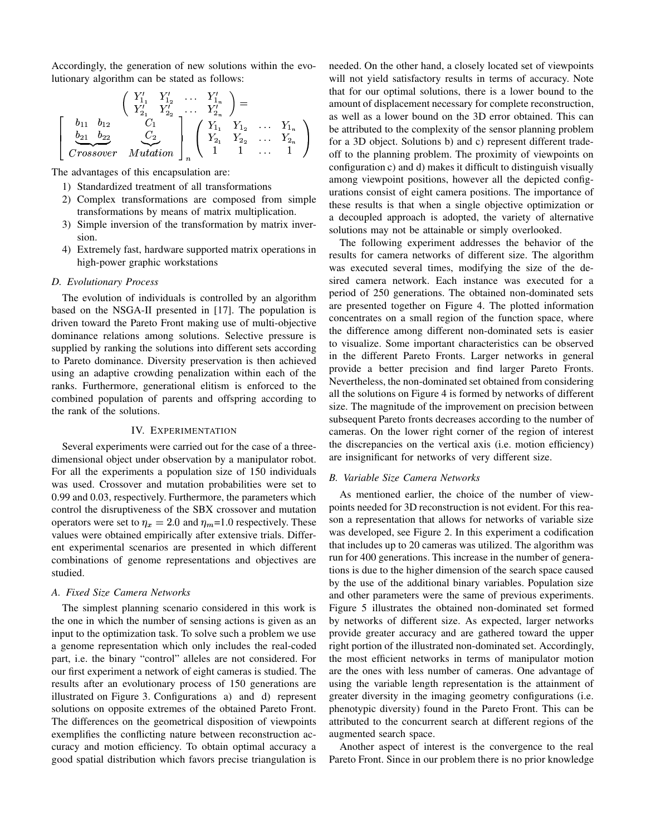Accordingly, the generation of new solutions within the evolutionary algorithm can be stated as follows:

$$
\begin{pmatrix}\nY'_{1_1} & Y'_{1_2} & \cdots & Y'_{1_n} \\
Y'_{2_1} & Y'_{2_2} & \cdots & Y'_{2_n} \\
\vdots & \vdots & \ddots & \vdots \\
\frac{b_{21}}{Crossover} & Mutation\n\end{pmatrix}\n\begin{pmatrix}\nY_{1_1} & Y_{1_2} & \cdots & Y_{1_n} \\
Y_{2_1} & Y_{2_2} & \cdots & Y_{2_n} \\
\vdots & \vdots & \ddots & \vdots \\
\frac{b_{21}}{Crossover} & Mutation\n\end{pmatrix}\n\begin{pmatrix}\nY_{1_1} & Y_{1_2} & \cdots & Y_{1_n} \\
Y_{2_1} & Y_{2_2} & \cdots & Y_{2_n} \\
\vdots & \vdots & \ddots & \vdots \\
\frac{b_{21}}{C} & \cdots & \frac{b_{2n}}{C} & \frac{b_{2n}}{C}\n\end{pmatrix}
$$

The advantages of this encapsulation are:

- 1) Standardized treatment of all transformations
- 2) Complex transformations are composed from simple transformations by means of matrix multiplication.
- 3) Simple inversion of the transformation by matrix inversion.
- 4) Extremely fast, hardware supported matrix operations in high-power graphic workstations

#### *D. Evolutionary Process*

The evolution of individuals is controlled by an algorithm based on the NSGA-II presented in [17]. The population is driven toward the Pareto Front making use of multi-objective dominance relations among solutions. Selective pressure is supplied by ranking the solutions into different sets according to Pareto dominance. Diversity preservation is then achieved using an adaptive crowding penalization within each of the ranks. Furthermore, generational elitism is enforced to the combined population of parents and offspring according to the rank of the solutions.

#### IV. EXPERIMENTATION

Several experiments were carried out for the case of a threedimensional object under observation by a manipulator robot. For all the experiments a population size of 150 individuals was used. Crossover and mutation probabilities were set to 0.99 and 0.03, respectively. Furthermore, the parameters which control the disruptiveness of the SBX crossover and mutation operators were set to  $\eta_x = 2.0$  and  $\eta_m = 1.0$  respectively. These values were obtained empirically after extensive trials. Different experimental scenarios are presented in which different combinations of genome representations and objectives are studied.

#### *A. Fixed Size Camera Networks*

The simplest planning scenario considered in this work is the one in which the number of sensing actions is given as an input to the optimization task. To solve such a problem we use a genome representation which only includes the real-coded part, i.e. the binary "control" alleles are not considered. For our first experiment a network of eight cameras is studied. The results after an evolutionary process of 150 generations are illustrated on Figure 3. Configurations a) and d) represent solutions on opposite extremes of the obtained Pareto Front. The differences on the geometrical disposition of viewpoints exemplifies the conflicting nature between reconstruction accuracy and motion efficiency. To obtain optimal accuracy a good spatial distribution which favors precise triangulation is

 $\binom{Y_{1n}}{Y_{1n}}$  be attributed to the complexity of the sensor planning problem  $f_{2n}$  for a 3D object. Solutions b) and c) represent different tradeas well as a lower bound on the 3D error obtained. This can needed. On the other hand, a closely located set of viewpoints will not yield satisfactory results in terms of accuracy. Note that for our optimal solutions, there is a lower bound to the amount of displacement necessary for complete reconstruction, off to the planning problem. The proximity of viewpoints on configuration c) and d) makes it difficult to distinguish visually among viewpoint positions, however all the depicted configurations consist of eight camera positions. The importance of these results is that when a single objective optimization or a decoupled approach is adopted, the variety of alternative solutions may not be attainable or simply overlooked.

> The following experiment addresses the behavior of the results for camera networks of different size. The algorithm was executed several times, modifying the size of the desired camera network. Each instance was executed for a period of 250 generations. The obtained non-dominated sets are presented together on Figure 4. The plotted information concentrates on a small region of the function space, where the difference among different non-dominated sets is easier to visualize. Some important characteristics can be observed in the different Pareto Fronts. Larger networks in general provide a better precision and find larger Pareto Fronts. Nevertheless, the non-dominated set obtained from considering all the solutions on Figure 4 is formed by networks of different size. The magnitude of the improvement on precision between subsequent Pareto fronts decreases according to the number of cameras. On the lower right corner of the region of interest the discrepancies on the vertical axis (i.e. motion efficiency) are insignificant for networks of very different size.

#### *B. Variable Size Camera Networks*

As mentioned earlier, the choice of the number of viewpoints needed for 3D reconstruction is not evident. For this reason a representation that allows for networks of variable size was developed, see Figure 2. In this experiment a codification that includes up to 20 cameras was utilized. The algorithm was run for 400 generations. This increase in the number of generations is due to the higher dimension of the search space caused by the use of the additional binary variables. Population size and other parameters were the same of previous experiments. Figure 5 illustrates the obtained non-dominated set formed by networks of different size. As expected, larger networks provide greater accuracy and are gathered toward the upper right portion of the illustrated non-dominated set. Accordingly, the most efficient networks in terms of manipulator motion are the ones with less number of cameras. One advantage of using the variable length representation is the attainment of greater diversity in the imaging geometry configurations (i.e. phenotypic diversity) found in the Pareto Front. This can be attributed to the concurrent search at different regions of the augmented search space.

Another aspect of interest is the convergence to the real Pareto Front. Since in our problem there is no prior knowledge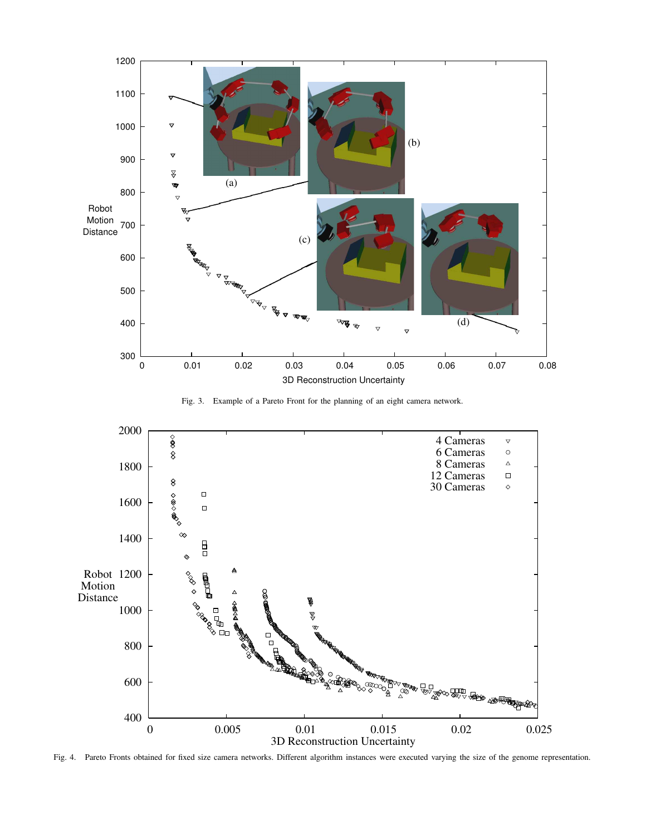

Fig. 3. Example of a Pareto Front for the planning of an eight camera network.



Fig. 4. Pareto Fronts obtained for fixed size camera networks. Different algorithm instances were executed varying the size of the genome representation.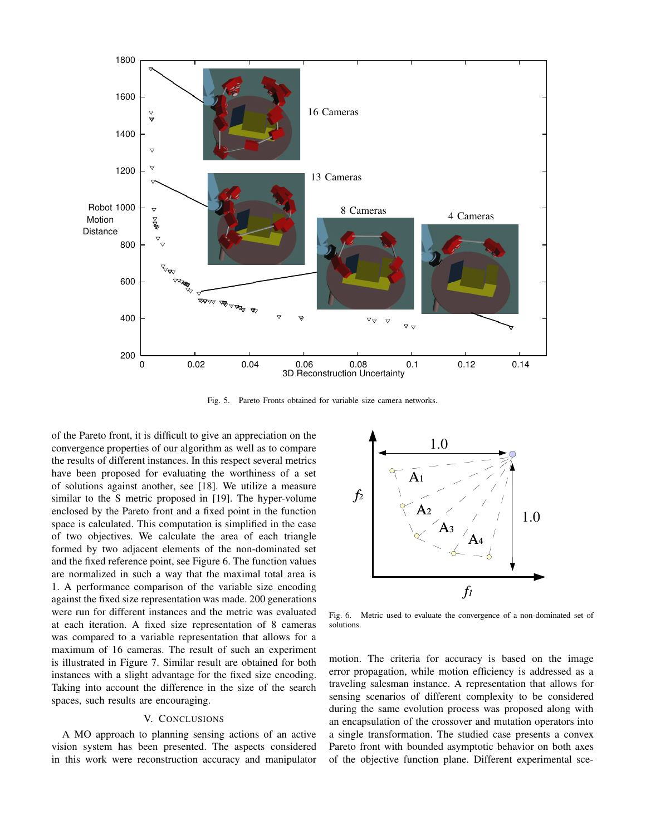

Fig. 5. Pareto Fronts obtained for variable size camera networks.

of the Pareto front, it is difficult to give an appreciation on the convergence properties of our algorithm as well as to compare the results of different instances. In this respect several metrics have been proposed for evaluating the worthiness of a set of solutions against another, see [18]. We utilize a measure similar to the S metric proposed in [19]. The hyper-volume enclosed by the Pareto front and a fixed point in the function space is calculated. This computation is simplified in the case of two objectives. We calculate the area of each triangle formed by two adjacent elements of the non-dominated set and the fixed reference point, see Figure 6. The function values are normalized in such a way that the maximal total area is 1. A performance comparison of the variable size encoding against the fixed size representation was made. 200 generations were run for different instances and the metric was evaluated at each iteration. A fixed size representation of 8 cameras was compared to a variable representation that allows for a maximum of 16 cameras. The result of such an experiment is illustrated in Figure 7. Similar result are obtained for both instances with a slight advantage for the fixed size encoding. Taking into account the difference in the size of the search spaces, such results are encouraging.

# V. CONCLUSIONS

A MO approach to planning sensing actions of an active vision system has been presented. The aspects considered in this work were reconstruction accuracy and manipulator



Fig. 6. Metric used to evaluate the convergence of a non-dominated set of solutions.

motion. The criteria for accuracy is based on the image error propagation, while motion efficiency is addressed as a traveling salesman instance. A representation that allows for sensing scenarios of different complexity to be considered during the same evolution process was proposed along with an encapsulation of the crossover and mutation operators into a single transformation. The studied case presents a convex Pareto front with bounded asymptotic behavior on both axes of the objective function plane. Different experimental sce-